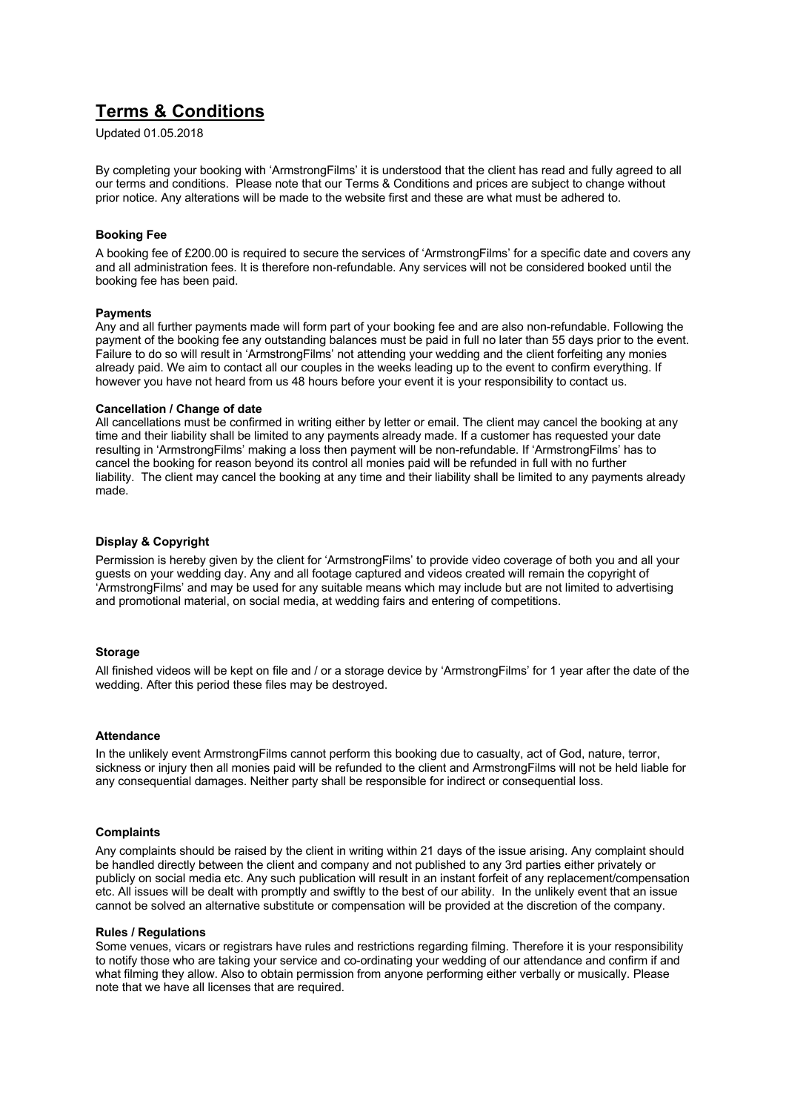# **Terms & Conditions**

Updated 01.05.2018

By completing your booking with 'ArmstrongFilms' it is understood that the client has read and fully agreed to all our terms and conditions. Please note that our Terms & Conditions and prices are subject to change without prior notice. Any alterations will be made to the website first and these are what must be adhered to.

## **Booking Fee**

A booking fee of £200.00 is required to secure the services of 'ArmstrongFilms' for a specific date and covers any and all administration fees. It is therefore non-refundable. Any services will not be considered booked until the booking fee has been paid.

## **Payments**

Any and all further payments made will form part of your booking fee and are also non-refundable. Following the payment of the booking fee any outstanding balances must be paid in full no later than 55 days prior to the event. Failure to do so will result in 'ArmstrongFilms' not attending your wedding and the client forfeiting any monies already paid. We aim to contact all our couples in the weeks leading up to the event to confirm everything. If however you have not heard from us 48 hours before your event it is your responsibility to contact us.

#### **Cancellation / Change of date**

All cancellations must be confirmed in writing either by letter or email. The client may cancel the booking at any time and their liability shall be limited to any payments already made. If a customer has requested your date resulting in 'ArmstrongFilms' making a loss then payment will be non-refundable. If 'ArmstrongFilms' has to cancel the booking for reason beyond its control all monies paid will be refunded in full with no further liability. The client may cancel the booking at any time and their liability shall be limited to any payments already made.

# **Display & Copyright**

Permission is hereby given by the client for 'ArmstrongFilms' to provide video coverage of both you and all your guests on your wedding day. Any and all footage captured and videos created will remain the copyright of 'ArmstrongFilms' and may be used for any suitable means which may include but are not limited to advertising and promotional material, on social media, at wedding fairs and entering of competitions.

## **Storage**

All finished videos will be kept on file and / or a storage device by 'ArmstrongFilms' for 1 year after the date of the wedding. After this period these files may be destroyed.

# **Attendance**

In the unlikely event ArmstrongFilms cannot perform this booking due to casualty, act of God, nature, terror, sickness or injury then all monies paid will be refunded to the client and ArmstrongFilms will not be held liable for any consequential damages. Neither party shall be responsible for indirect or consequential loss.

## **Complaints**

Any complaints should be raised by the client in writing within 21 days of the issue arising. Any complaint should be handled directly between the client and company and not published to any 3rd parties either privately or publicly on social media etc. Any such publication will result in an instant forfeit of any replacement/compensation etc. All issues will be dealt with promptly and swiftly to the best of our ability. In the unlikely event that an issue cannot be solved an alternative substitute or compensation will be provided at the discretion of the company.

#### **Rules / Regulations**

Some venues, vicars or registrars have rules and restrictions regarding filming. Therefore it is your responsibility to notify those who are taking your service and co-ordinating your wedding of our attendance and confirm if and what filming they allow. Also to obtain permission from anyone performing either verbally or musically. Please note that we have all licenses that are required.